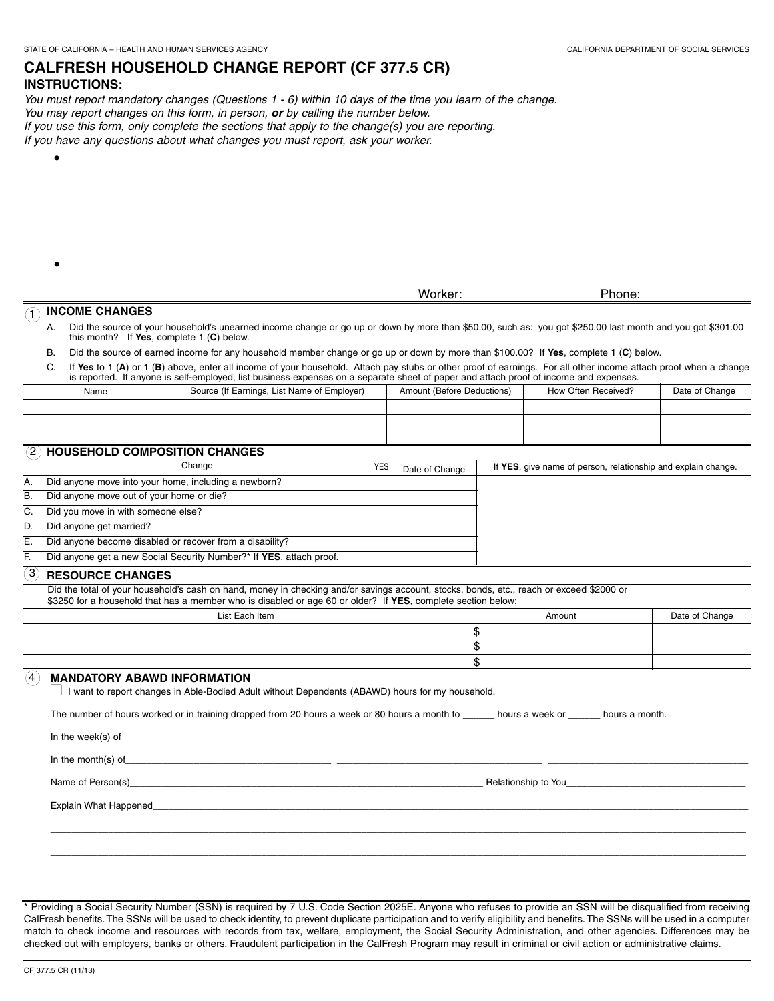•

•

## **CALFRESH HOUSEHOLD CHANGE REPORT (CF 377.5 CR) INSTRUCTIONS:**

You must report mandatory changes (Questions 1 - 6) within 10 days of the time you learn of the change.

You may report changes on this form, in person, **or** by calling the number below.

If you use this form, only complete the sections that apply to the change(s) you are reporting.

If you have any questions about what changes you must report, ask your worker.

|                                                                                                                                                                                                               |                                                                                                                                                                                                                                |                                                     |                                                                                                                                                                                                                                                          |                                                                                                                                                                                                                                                                                                           | Worker:                    |                                                                                                                                                                                                                               | Phone:                                                        |                |  |  |
|---------------------------------------------------------------------------------------------------------------------------------------------------------------------------------------------------------------|--------------------------------------------------------------------------------------------------------------------------------------------------------------------------------------------------------------------------------|-----------------------------------------------------|----------------------------------------------------------------------------------------------------------------------------------------------------------------------------------------------------------------------------------------------------------|-----------------------------------------------------------------------------------------------------------------------------------------------------------------------------------------------------------------------------------------------------------------------------------------------------------|----------------------------|-------------------------------------------------------------------------------------------------------------------------------------------------------------------------------------------------------------------------------|---------------------------------------------------------------|----------------|--|--|
| $^{\prime}$ 1.                                                                                                                                                                                                |                                                                                                                                                                                                                                | <b>INCOME CHANGES</b>                               |                                                                                                                                                                                                                                                          |                                                                                                                                                                                                                                                                                                           |                            |                                                                                                                                                                                                                               |                                                               |                |  |  |
| Did the source of your household's unearned income change or go up or down by more than \$50.00, such as: you got \$250.00 last month and you got \$301.00<br>А.<br>this month? If Yes. complete 1 (C) below. |                                                                                                                                                                                                                                |                                                     |                                                                                                                                                                                                                                                          |                                                                                                                                                                                                                                                                                                           |                            |                                                                                                                                                                                                                               |                                                               |                |  |  |
|                                                                                                                                                                                                               | <b>B.</b>                                                                                                                                                                                                                      |                                                     | Did the source of earned income for any household member change or go up or down by more than \$100.00? If Yes, complete 1 (C) below.                                                                                                                    |                                                                                                                                                                                                                                                                                                           |                            |                                                                                                                                                                                                                               |                                                               |                |  |  |
|                                                                                                                                                                                                               | C.                                                                                                                                                                                                                             |                                                     |                                                                                                                                                                                                                                                          | If Yes to 1 (A) or 1 (B) above, enter all income of your household. Attach pay stubs or other proof of earnings. For all other income attach proof when a change<br>is reported. If anyone is self-employed, list business expenses on a separate sheet of paper and attach proof of income and expenses. |                            |                                                                                                                                                                                                                               |                                                               |                |  |  |
|                                                                                                                                                                                                               |                                                                                                                                                                                                                                | Source (If Earnings, List Name of Employer)<br>Name |                                                                                                                                                                                                                                                          |                                                                                                                                                                                                                                                                                                           | Amount (Before Deductions) |                                                                                                                                                                                                                               | How Often Received?                                           | Date of Change |  |  |
|                                                                                                                                                                                                               |                                                                                                                                                                                                                                |                                                     |                                                                                                                                                                                                                                                          |                                                                                                                                                                                                                                                                                                           |                            |                                                                                                                                                                                                                               |                                                               |                |  |  |
| $ 2\rangle$                                                                                                                                                                                                   |                                                                                                                                                                                                                                | <b>HOUSEHOLD COMPOSITION CHANGES</b>                |                                                                                                                                                                                                                                                          |                                                                                                                                                                                                                                                                                                           |                            |                                                                                                                                                                                                                               |                                                               |                |  |  |
|                                                                                                                                                                                                               |                                                                                                                                                                                                                                |                                                     | Change                                                                                                                                                                                                                                                   | <b>YES</b>                                                                                                                                                                                                                                                                                                | Date of Change             |                                                                                                                                                                                                                               | If YES, give name of person, relationship and explain change. |                |  |  |
| А.                                                                                                                                                                                                            |                                                                                                                                                                                                                                |                                                     | Did anyone move into your home, including a newborn?                                                                                                                                                                                                     |                                                                                                                                                                                                                                                                                                           |                            |                                                                                                                                                                                                                               |                                                               |                |  |  |
| В.                                                                                                                                                                                                            |                                                                                                                                                                                                                                | Did anyone move out of your home or die?            |                                                                                                                                                                                                                                                          |                                                                                                                                                                                                                                                                                                           |                            |                                                                                                                                                                                                                               |                                                               |                |  |  |
| C.                                                                                                                                                                                                            |                                                                                                                                                                                                                                | Did you move in with someone else?                  |                                                                                                                                                                                                                                                          |                                                                                                                                                                                                                                                                                                           |                            |                                                                                                                                                                                                                               |                                                               |                |  |  |
| D.                                                                                                                                                                                                            |                                                                                                                                                                                                                                | Did anyone get married?                             |                                                                                                                                                                                                                                                          |                                                                                                                                                                                                                                                                                                           |                            |                                                                                                                                                                                                                               |                                                               |                |  |  |
| Ε.                                                                                                                                                                                                            |                                                                                                                                                                                                                                |                                                     | Did anyone become disabled or recover from a disability?                                                                                                                                                                                                 |                                                                                                                                                                                                                                                                                                           |                            |                                                                                                                                                                                                                               |                                                               |                |  |  |
| F.                                                                                                                                                                                                            |                                                                                                                                                                                                                                |                                                     | Did anyone get a new Social Security Number?* If YES, attach proof.                                                                                                                                                                                      |                                                                                                                                                                                                                                                                                                           |                            |                                                                                                                                                                                                                               |                                                               |                |  |  |
| 3)                                                                                                                                                                                                            | <b>RESOURCE CHANGES</b>                                                                                                                                                                                                        |                                                     |                                                                                                                                                                                                                                                          |                                                                                                                                                                                                                                                                                                           |                            |                                                                                                                                                                                                                               |                                                               |                |  |  |
|                                                                                                                                                                                                               |                                                                                                                                                                                                                                |                                                     | Did the total of your household's cash on hand, money in checking and/or savings account, stocks, bonds, etc., reach or exceed \$2000 or<br>\$3250 for a household that has a member who is disabled or age 60 or older? If YES, complete section below: |                                                                                                                                                                                                                                                                                                           |                            |                                                                                                                                                                                                                               |                                                               |                |  |  |
|                                                                                                                                                                                                               |                                                                                                                                                                                                                                |                                                     | List Each Item                                                                                                                                                                                                                                           |                                                                                                                                                                                                                                                                                                           |                            |                                                                                                                                                                                                                               | Amount                                                        | Date of Change |  |  |
|                                                                                                                                                                                                               |                                                                                                                                                                                                                                |                                                     |                                                                                                                                                                                                                                                          |                                                                                                                                                                                                                                                                                                           |                            | \$                                                                                                                                                                                                                            |                                                               |                |  |  |
|                                                                                                                                                                                                               |                                                                                                                                                                                                                                |                                                     |                                                                                                                                                                                                                                                          |                                                                                                                                                                                                                                                                                                           |                            | \$                                                                                                                                                                                                                            |                                                               |                |  |  |
|                                                                                                                                                                                                               |                                                                                                                                                                                                                                |                                                     |                                                                                                                                                                                                                                                          |                                                                                                                                                                                                                                                                                                           |                            | \$                                                                                                                                                                                                                            |                                                               |                |  |  |
| (4)                                                                                                                                                                                                           | <b>MANDATORY ABAWD INFORMATION</b><br>$\Box$ I want to report changes in Able-Bodied Adult without Dependents (ABAWD) hours for my household.                                                                                  |                                                     |                                                                                                                                                                                                                                                          |                                                                                                                                                                                                                                                                                                           |                            |                                                                                                                                                                                                                               |                                                               |                |  |  |
|                                                                                                                                                                                                               |                                                                                                                                                                                                                                |                                                     | The number of hours worked or in training dropped from 20 hours a week or 80 hours a month to hours a week or hours a month.                                                                                                                             |                                                                                                                                                                                                                                                                                                           |                            |                                                                                                                                                                                                                               |                                                               |                |  |  |
|                                                                                                                                                                                                               |                                                                                                                                                                                                                                |                                                     |                                                                                                                                                                                                                                                          |                                                                                                                                                                                                                                                                                                           |                            |                                                                                                                                                                                                                               |                                                               |                |  |  |
|                                                                                                                                                                                                               |                                                                                                                                                                                                                                |                                                     |                                                                                                                                                                                                                                                          |                                                                                                                                                                                                                                                                                                           |                            |                                                                                                                                                                                                                               |                                                               |                |  |  |
|                                                                                                                                                                                                               | Name of Person(s) and the contract of the contract of the contract of the contract of the contract of the contract of the contract of the contract of the contract of the contract of the contract of the contract of the cont |                                                     |                                                                                                                                                                                                                                                          |                                                                                                                                                                                                                                                                                                           |                            | Relationship to You contained the control of the control of the control of the control of the control of the control of the control of the control of the control of the control of the control of the control of the control |                                                               |                |  |  |
|                                                                                                                                                                                                               |                                                                                                                                                                                                                                | Explain What Happened                               |                                                                                                                                                                                                                                                          |                                                                                                                                                                                                                                                                                                           |                            |                                                                                                                                                                                                                               |                                                               |                |  |  |
|                                                                                                                                                                                                               |                                                                                                                                                                                                                                |                                                     |                                                                                                                                                                                                                                                          |                                                                                                                                                                                                                                                                                                           |                            |                                                                                                                                                                                                                               |                                                               |                |  |  |
|                                                                                                                                                                                                               |                                                                                                                                                                                                                                |                                                     |                                                                                                                                                                                                                                                          |                                                                                                                                                                                                                                                                                                           |                            |                                                                                                                                                                                                                               |                                                               |                |  |  |
|                                                                                                                                                                                                               |                                                                                                                                                                                                                                |                                                     |                                                                                                                                                                                                                                                          |                                                                                                                                                                                                                                                                                                           |                            |                                                                                                                                                                                                                               |                                                               |                |  |  |

\* Providing a Social Security Number (SSN) is required by 7 U.S. Code Section 2025E. Anyone who refuses to provide an SSN will be disqualified from receiving CalFresh benefits. The SSNs will be used to check identity, to prevent duplicate participation and to verify eligibility and benefits. The SSNs will be used in a computer match to check income and resources with records from tax, welfare, employment, the Social Security Administration, and other agencies. Differences may be checked out with employers, banks or others. Fraudulent participation in the CalFresh Program may result in criminal or civil action or administrative claims.